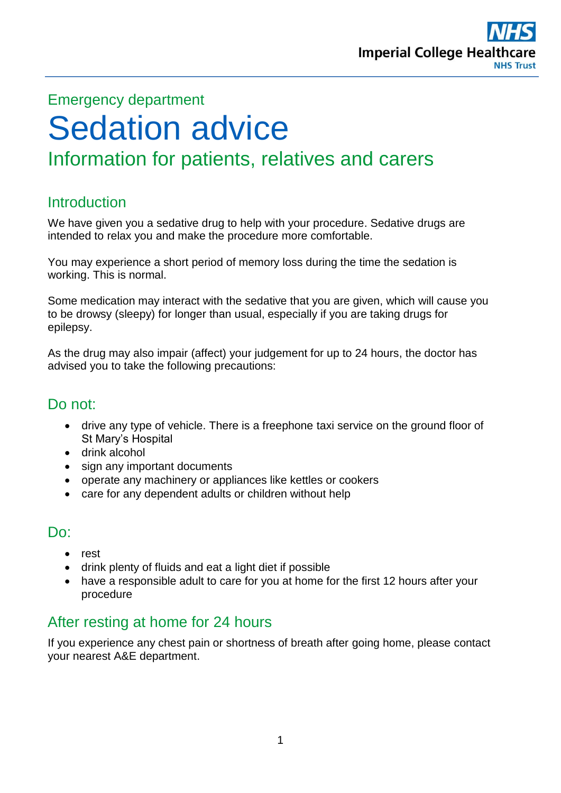

# Emergency department Sedation advice Information for patients, relatives and carers

# Introduction

We have given you a sedative drug to help with your procedure. Sedative drugs are intended to relax you and make the procedure more comfortable.

You may experience a short period of memory loss during the time the sedation is working. This is normal.

Some medication may interact with the sedative that you are given, which will cause you to be drowsy (sleepy) for longer than usual, especially if you are taking drugs for epilepsy.

As the drug may also impair (affect) your judgement for up to 24 hours, the doctor has advised you to take the following precautions:

# Do not:

- drive any type of vehicle. There is a freephone taxi service on the ground floor of St Mary's Hospital
- drink alcohol
- sign any important documents
- operate any machinery or appliances like kettles or cookers
- care for any dependent adults or children without help

# Do:

- rest
- drink plenty of fluids and eat a light diet if possible
- have a responsible adult to care for you at home for the first 12 hours after your procedure

# After resting at home for 24 hours

If you experience any chest pain or shortness of breath after going home, please contact your nearest A&E department.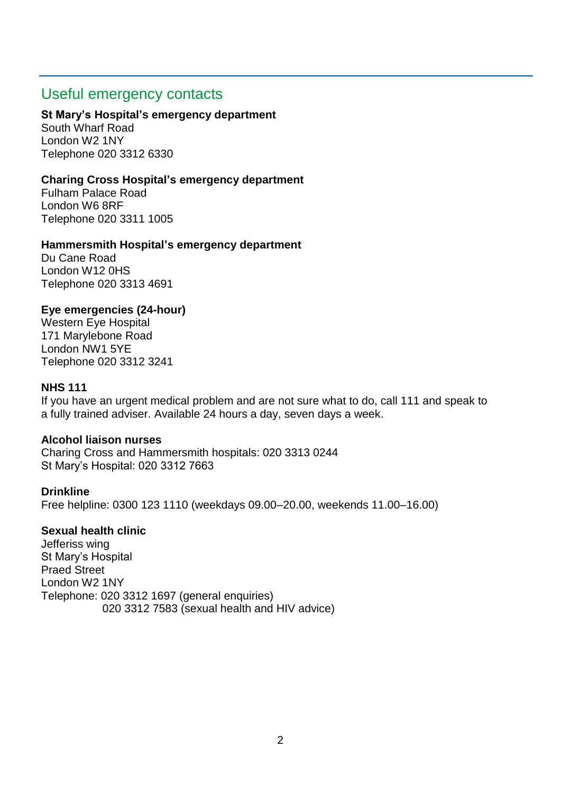## Useful emergency contacts

### **St Mary's Hospital's emergency department**

South Wharf Road London W2 1NY Telephone 020 3312 6330

### **Charing Cross Hospital's emergency department**

Fulham Palace Road London W6 8RF Telephone 020 3311 1005

### **Hammersmith Hospital's emergency department**

Du Cane Road London W12 0HS Telephone 020 3313 4691

### **Eye emergencies (24-hour)**

Western Eye Hospital 171 Marylebone Road London NW1 5YE Telephone 020 3312 3241

### **NHS 111**

If you have an urgent medical problem and are not sure what to do, call 111 and speak to a fully trained adviser. Available 24 hours a day, seven days a week.

### **Alcohol liaison nurses**

Charing Cross and Hammersmith hospitals: 020 3313 0244 St Mary's Hospital: 020 3312 7663

### **Drinkline**

Free helpline: 0300 123 1110 (weekdays 09.00–20.00, weekends 11.00–16.00)

### **Sexual health clinic**

Jefferiss wing St Mary's Hospital Praed Street London W2 1NY Telephone: 020 3312 1697 (general enquiries) 020 3312 7583 (sexual health and HIV advice)